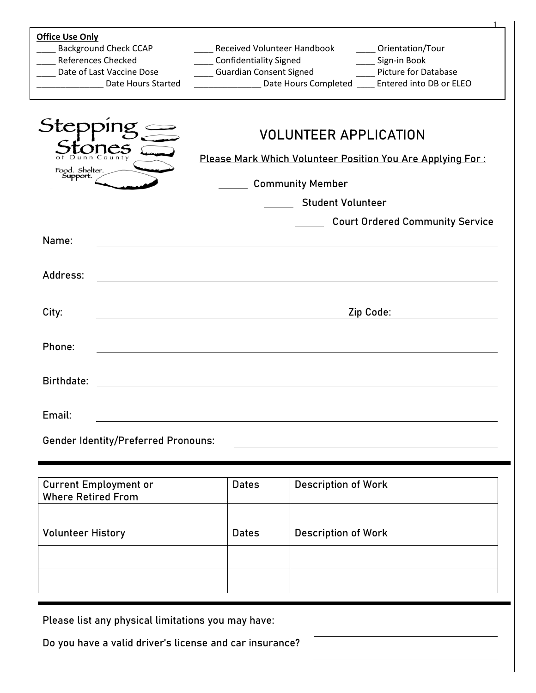| <b>Office Use Only</b><br><b>Background Check CCAP</b><br><b>References Checked</b><br>Date of Last Vaccine Dose<br>Date Hours Started | <b>Received Volunteer Handbook</b><br><b>Confidentiality Signed</b><br><b>Guardian Consent Signed</b>                 |                            | Orientation/Tour<br>Sign-in Book<br><b>Picture for Database</b><br>Date Hours Completed _____ Entered into DB or ELEO |  |  |  |
|----------------------------------------------------------------------------------------------------------------------------------------|-----------------------------------------------------------------------------------------------------------------------|----------------------------|-----------------------------------------------------------------------------------------------------------------------|--|--|--|
| Stej<br>Food. Shelter.<br>Support.                                                                                                     | <b>VOLUNTEER APPLICATION</b><br>Please Mark Which Volunteer Position You Are Applying For:<br><b>Community Member</b> |                            |                                                                                                                       |  |  |  |
|                                                                                                                                        | <b>Student Volunteer</b><br>Court Ordered Community Service                                                           |                            |                                                                                                                       |  |  |  |
| Name:                                                                                                                                  |                                                                                                                       |                            |                                                                                                                       |  |  |  |
|                                                                                                                                        |                                                                                                                       |                            |                                                                                                                       |  |  |  |
| Address:                                                                                                                               | <u> 1980 - Johann John Stein, marwolaeth a bhann an t-Amhainn an t-Amhainn an t-Amhainn an t-Amhainn an t-Amhain</u>  |                            |                                                                                                                       |  |  |  |
|                                                                                                                                        |                                                                                                                       |                            |                                                                                                                       |  |  |  |
| City:                                                                                                                                  |                                                                                                                       |                            | Zip Code:                                                                                                             |  |  |  |
|                                                                                                                                        |                                                                                                                       |                            |                                                                                                                       |  |  |  |
| Phone:                                                                                                                                 |                                                                                                                       |                            |                                                                                                                       |  |  |  |
| <b>Birthdate:</b>                                                                                                                      | <u> 1980 - Johann Stein, marwolaethau a bhann an t-Amhair ann an t-Amhair an t-Amhair an t-Amhair an t-Amhair an</u>  |                            |                                                                                                                       |  |  |  |
| Email:                                                                                                                                 |                                                                                                                       |                            |                                                                                                                       |  |  |  |
| <b>Gender Identity/Preferred Pronouns:</b>                                                                                             |                                                                                                                       |                            |                                                                                                                       |  |  |  |
|                                                                                                                                        |                                                                                                                       |                            |                                                                                                                       |  |  |  |
| <b>Current Employment or</b>                                                                                                           | <b>Dates</b>                                                                                                          | <b>Description of Work</b> |                                                                                                                       |  |  |  |
| <b>Where Retired From</b>                                                                                                              |                                                                                                                       |                            |                                                                                                                       |  |  |  |
|                                                                                                                                        |                                                                                                                       |                            |                                                                                                                       |  |  |  |
| <b>Volunteer History</b>                                                                                                               | <b>Dates</b>                                                                                                          | <b>Description of Work</b> |                                                                                                                       |  |  |  |
|                                                                                                                                        |                                                                                                                       |                            |                                                                                                                       |  |  |  |
|                                                                                                                                        |                                                                                                                       |                            |                                                                                                                       |  |  |  |
|                                                                                                                                        |                                                                                                                       |                            |                                                                                                                       |  |  |  |
| Please list any physical limitations you may have:                                                                                     |                                                                                                                       |                            |                                                                                                                       |  |  |  |
| Do you have a valid driver's license and car insurance?                                                                                |                                                                                                                       |                            |                                                                                                                       |  |  |  |
|                                                                                                                                        |                                                                                                                       |                            |                                                                                                                       |  |  |  |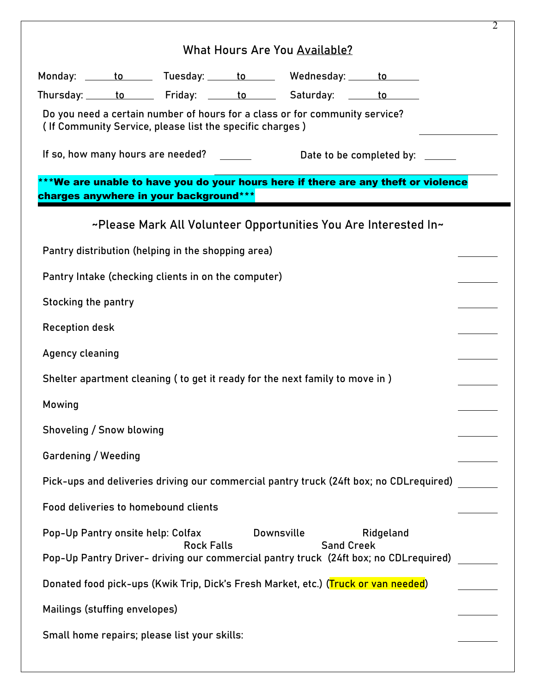|                                                                                                                                |  |                                                          |  |                                                                                    |                                                                                         | 2 |
|--------------------------------------------------------------------------------------------------------------------------------|--|----------------------------------------------------------|--|------------------------------------------------------------------------------------|-----------------------------------------------------------------------------------------|---|
| <b>What Hours Are You Available?</b>                                                                                           |  |                                                          |  |                                                                                    |                                                                                         |   |
|                                                                                                                                |  |                                                          |  | Monday: <u>to the Tuesday: to Wednesday: to to the to the to the to the the</u>    |                                                                                         |   |
|                                                                                                                                |  |                                                          |  | Thursday: to Friday: to Saturday: to                                               |                                                                                         |   |
|                                                                                                                                |  | (If Community Service, please list the specific charges) |  | Do you need a certain number of hours for a class or for community service?        |                                                                                         |   |
| If so, how many hours are needed?<br>Date to be completed by:                                                                  |  |                                                          |  |                                                                                    |                                                                                         |   |
| charges anywhere in your background***                                                                                         |  |                                                          |  |                                                                                    | ***We are unable to have you do your hours here if there are any theft or violence      |   |
|                                                                                                                                |  |                                                          |  | ~Please Mark All Volunteer Opportunities You Are Interested In~                    |                                                                                         |   |
| Pantry distribution (helping in the shopping area)                                                                             |  |                                                          |  |                                                                                    |                                                                                         |   |
| Pantry Intake (checking clients in on the computer)                                                                            |  |                                                          |  |                                                                                    |                                                                                         |   |
| <b>Stocking the pantry</b>                                                                                                     |  |                                                          |  |                                                                                    |                                                                                         |   |
| <b>Reception desk</b>                                                                                                          |  |                                                          |  |                                                                                    |                                                                                         |   |
| Agency cleaning                                                                                                                |  |                                                          |  |                                                                                    |                                                                                         |   |
|                                                                                                                                |  |                                                          |  | Shelter apartment cleaning (to get it ready for the next family to move in)        |                                                                                         |   |
| Mowing                                                                                                                         |  |                                                          |  |                                                                                    |                                                                                         |   |
| Shoveling / Snow blowing                                                                                                       |  |                                                          |  |                                                                                    |                                                                                         |   |
| Gardening / Weeding                                                                                                            |  |                                                          |  |                                                                                    |                                                                                         |   |
|                                                                                                                                |  |                                                          |  |                                                                                    | Pick-ups and deliveries driving our commercial pantry truck (24ft box; no CDL required) |   |
|                                                                                                                                |  | Food deliveries to homebound clients                     |  |                                                                                    |                                                                                         |   |
| Pop-Up Pantry onsite help: Colfax                                                                                              |  |                                                          |  | <b>Downsville</b>                                                                  | Ridgeland                                                                               |   |
| <b>Sand Creek</b><br><b>Rock Falls</b><br>Pop-Up Pantry Driver- driving our commercial pantry truck (24ft box; no CDLrequired) |  |                                                          |  |                                                                                    |                                                                                         |   |
|                                                                                                                                |  |                                                          |  | Donated food pick-ups (Kwik Trip, Dick's Fresh Market, etc.) (Truck or van needed) |                                                                                         |   |
| Mailings (stuffing envelopes)                                                                                                  |  |                                                          |  |                                                                                    |                                                                                         |   |
| Small home repairs; please list your skills:                                                                                   |  |                                                          |  |                                                                                    |                                                                                         |   |
|                                                                                                                                |  |                                                          |  |                                                                                    |                                                                                         |   |